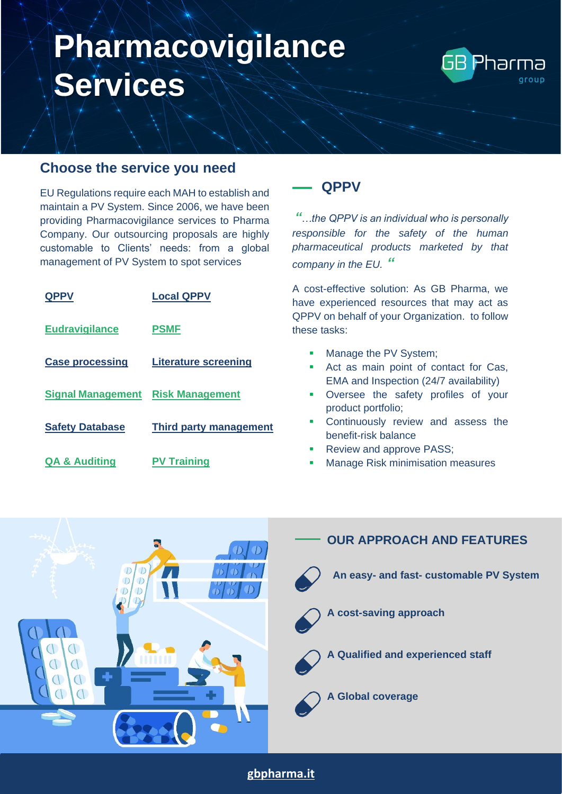

#### **Choose the service you need**

EU Regulations require each MAH to establish and maintain a PV System. Since 2006, we have been providing Pharmacovigilance services to Pharma Company. Our outsourcing proposals are highly customable to Clients' needs: from a global management of PV System to spot services

| <b>QPPV</b>                              | <b>Local QPPV</b>           |
|------------------------------------------|-----------------------------|
| <b>Eudravigilance</b>                    | <b>PSMF</b>                 |
| <b>Case processing</b>                   | <b>Literature screening</b> |
| <b>Signal Management Risk Management</b> |                             |
| <b>Safety Database</b>                   | Third party management      |
| <b>QA &amp; Auditing</b>                 | <b>PV Training</b>          |

### <span id="page-0-0"></span>**QPPV**

*"…the QPPV is an individual who is personally responsible for the safety of the human pharmaceutical products marketed by that company in the EU. "*

A cost-effective solution: As GB Pharma, we have experienced resources that may act as QPPV on behalf of your Organization. to follow these tasks:

- **■** Manage the PV System;
- Act as main point of contact for Cas, EMA and Inspection (24/7 availability)
- **•** Oversee the safety profiles of your product portfolio;
- **Continuously review and assess the** benefit-risk balance
- **Review and approve PASS;**
- **Manage Risk minimisation measures**



**[gbpharma.it](http://www.gbpharma.it/)**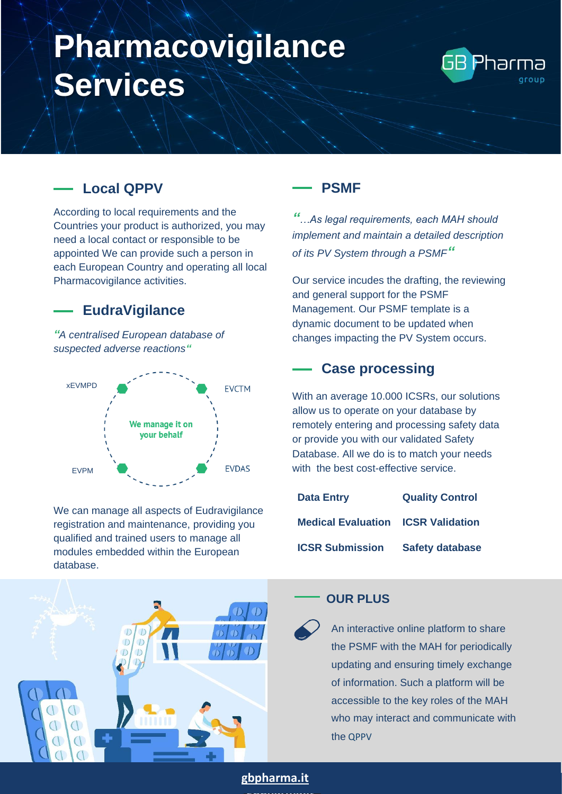

## <span id="page-1-0"></span>**Local QPPV**

According to local requirements and the Countries your product is authorized, you may need a local contact or responsible to be appointed We can provide such a person in each European Country and operating all local Pharmacovigilance activities.

### <span id="page-1-1"></span>**EudraVigilance**

*"A centralised European database of suspected adverse reactions"*



We can manage all aspects of Eudravigilance registration and maintenance, providing you qualified and trained users to manage all modules embedded within the European database.



### <span id="page-1-2"></span>**PSMF**

*"…As legal requirements, each MAH should implement and maintain a detailed description of its PV System through a PSMF"*

Our service incudes the drafting, the reviewing and general support for the PSMF Management. Our PSMF template is a dynamic document to be updated when changes impacting the PV System occurs.

## **Case processing**

<span id="page-1-3"></span>With an average 10.000 ICSRs, our solutions allow us to operate on your database by remotely entering and processing safety data or provide you with our validated Safety Database. All we do is to match your needs with the best cost-effective service.

| <b>Data Entry</b>                         | <b>Quality Control</b> |
|-------------------------------------------|------------------------|
| <b>Medical Evaluation ICSR Validation</b> |                        |
| <b>ICSR Submission</b>                    | <b>Safety database</b> |

### **OUR PLUS**

An interactive online platform to share the PSMF with the MAH for periodically updating and ensuring timely exchange of information. Such a platform will be accessible to the key roles of the MAH who may interact and communicate with the QPPV

#### **[gbpharma.it](http://www.gbpharma.it/)**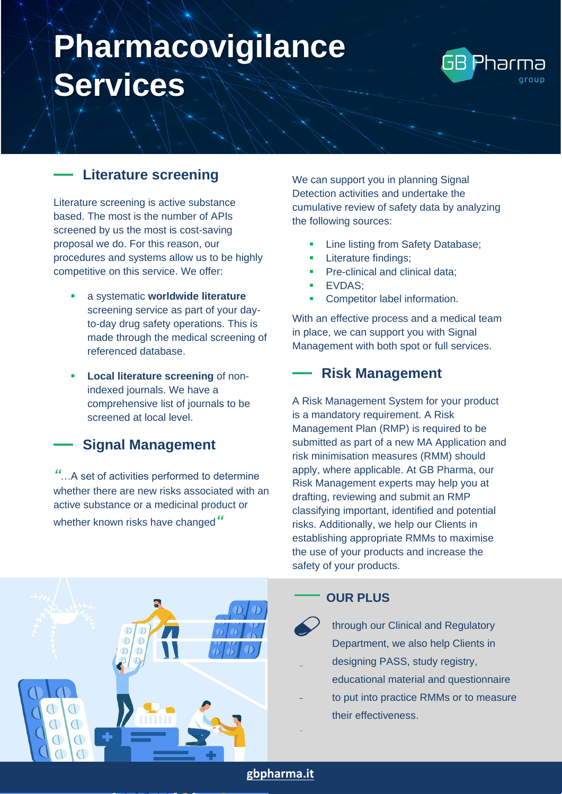

## <span id="page-2-0"></span>**Literature screening**

Literature screening is active substance based. The most is the number of APIs screened by us the most is cost-saving proposal we do. For this reason, our procedures and systems allow us to be highly competitive on this service. We offer:

- a systematic **worldwide literature** screening service as part of your dayto-day drug safety operations. This is made through the medical screening of referenced database.
- **Local literature screening of non**indexed journals. We have a comprehensive list of journals to be screened at local level.

### <span id="page-2-1"></span>**Signal Management**

*"*…A set of activities performed to determine whether there are new risks associated with an active substance or a medicinal product or whether known risks have changed*"*

We can support you in planning Signal Detection activities and undertake the cumulative review of safety data by analyzing the following sources:

- Line listing from Safety Database;
- Literature findings;
- Pre-clinical and clinical data;
- EVDAS;
- **•** Competitor label information.

With an effective process and a medical team in place, we can support you with Signal Management with both spot or full services.

## <span id="page-2-2"></span>**Risk Management**

A Risk Management System for your product is a mandatory requirement. A Risk Management Plan (RMP) is required to be submitted as part of a new MA Application and risk minimisation measures (RMM) should apply, where applicable. At GB Pharma, our Risk Management experts may help you at drafting, reviewing and submit an RMP classifying important, identified and potential risks. Additionally, we help our Clients in establishing appropriate RMMs to maximise the use of your products and increase the safety of your products.



### **OUR PLUS**

through our Clinical and Regulatory Department, we also help Clients in

- designing PASS, study registry,
- educational material and questionnaire
- to put into practice RMMs or to measure their effectiveness.

**[gbpharma.it](http://www.gbpharma.it/)**